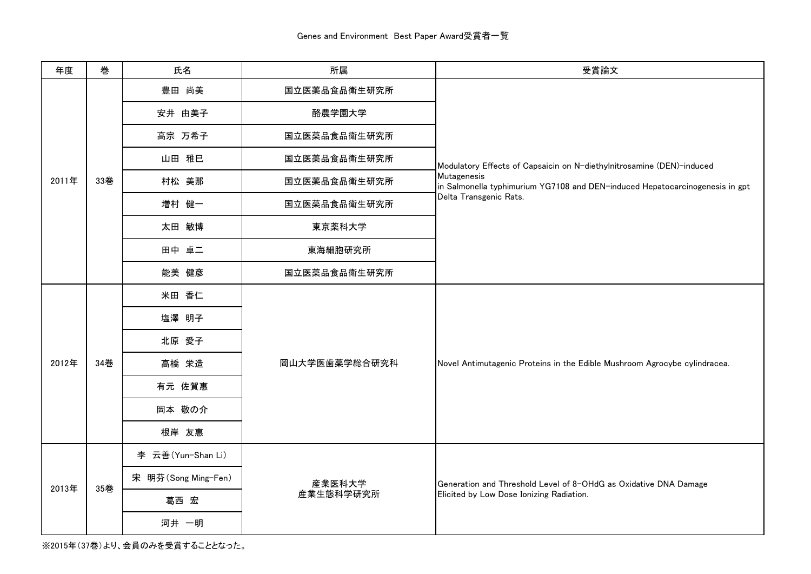| 年度    | 巻   | 氏名                  | 所属                  | 受賞論文                                                                                                                                                                                           |
|-------|-----|---------------------|---------------------|------------------------------------------------------------------------------------------------------------------------------------------------------------------------------------------------|
| 2011年 | 33巻 | 豊田 尚美               | 国立医薬品食品衛生研究所        | Modulatory Effects of Capsaicin on N-diethylnitrosamine (DEN)-induced<br>Mutagenesis<br>in Salmonella typhimurium YG7108 and DEN-induced Hepatocarcinogenesis in gpt<br>Delta Transgenic Rats. |
|       |     | 安井 由美子              | 酪農学園大学              |                                                                                                                                                                                                |
|       |     | 高宗 万希子              | 国立医薬品食品衛生研究所        |                                                                                                                                                                                                |
|       |     | 山田 雅巳               | 国立医薬品食品衛生研究所        |                                                                                                                                                                                                |
|       |     | 村松 美那               | 国立医薬品食品衛生研究所        |                                                                                                                                                                                                |
|       |     | 増村 健一               | 国立医薬品食品衛生研究所        |                                                                                                                                                                                                |
|       |     | 太田 敏博               | 東京薬科大学              |                                                                                                                                                                                                |
|       |     | 田中 卓二               | 東海細胞研究所             |                                                                                                                                                                                                |
|       |     | 能美 健彦               | 国立医薬品食品衛生研究所        |                                                                                                                                                                                                |
|       | 34巻 | 米田 香仁               | 岡山大学医歯薬学総合研究科       | Novel Antimutagenic Proteins in the Edible Mushroom Agrocybe cylindracea.                                                                                                                      |
|       |     | 塩澤 明子               |                     |                                                                                                                                                                                                |
| 2012年 |     | 北原 愛子               |                     |                                                                                                                                                                                                |
|       |     | 高橋 栄造               |                     |                                                                                                                                                                                                |
|       |     | 有元 佐賀惠              |                     |                                                                                                                                                                                                |
|       |     | 岡本 敬の介              |                     |                                                                                                                                                                                                |
|       |     | 根岸 友惠               |                     |                                                                                                                                                                                                |
| 2013年 | 35巻 | 李 云善(Yun-Shan Li)   | 産業医科大学<br>産業生態科学研究所 | Generation and Threshold Level of 8-OHdG as Oxidative DNA Damage<br>Elicited by Low Dose Ionizing Radiation.                                                                                   |
|       |     | 宋 明芬(Song Ming-Fen) |                     |                                                                                                                                                                                                |
|       |     | 葛西 宏                |                     |                                                                                                                                                                                                |
|       |     | 河井 一明               |                     |                                                                                                                                                                                                |

※2015年(37巻)より、会員のみを受賞することとなった。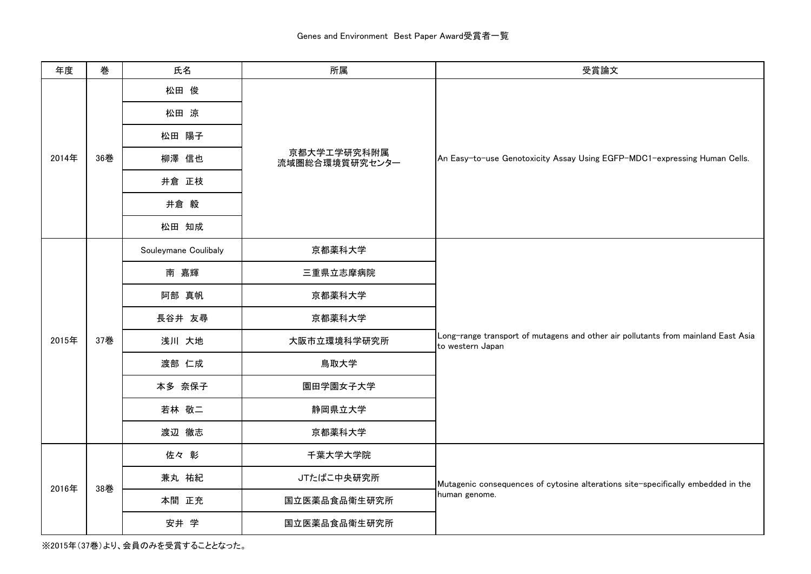| 年度    | 巻   | 氏名                   | 所属                            | 受賞論文                                                                                                  |
|-------|-----|----------------------|-------------------------------|-------------------------------------------------------------------------------------------------------|
| 2014年 | 36巻 | 松田 俊                 | 京都大学工学研究科附属<br>流域圏総合環境質研究センター | An Easy-to-use Genotoxicity Assay Using EGFP-MDC1-expressing Human Cells.                             |
|       |     | 松田 涼                 |                               |                                                                                                       |
|       |     | 松田 陽子                |                               |                                                                                                       |
|       |     | 柳澤 信也                |                               |                                                                                                       |
|       |     | 井倉 正枝                |                               |                                                                                                       |
|       |     | 井倉 毅                 |                               |                                                                                                       |
|       |     | 松田 知成                |                               |                                                                                                       |
|       | 37巻 | Souleymane Coulibaly | 京都薬科大学                        | Long-range transport of mutagens and other air pollutants from mainland East Asia<br>to western Japan |
|       |     | 南 嘉輝                 | 三重県立志摩病院                      |                                                                                                       |
|       |     | 阿部 真帆                | 京都薬科大学                        |                                                                                                       |
|       |     | 長谷井 友尋               | 京都薬科大学                        |                                                                                                       |
| 2015年 |     | 浅川 大地                | 大阪市立環境科学研究所                   |                                                                                                       |
|       |     | 渡部 仁成                | 鳥取大学                          |                                                                                                       |
|       |     | 本多 奈保子               | 園田学園女子大学                      |                                                                                                       |
|       |     | 若林 敬二                | 静岡県立大学                        |                                                                                                       |
|       |     | 渡辺 徹志                | 京都薬科大学                        |                                                                                                       |
| 2016年 | 38巻 | 佐々 彰                 | 千葉大学大学院                       | Mutagenic consequences of cytosine alterations site-specifically embedded in the<br>human genome.     |
|       |     | 兼丸 祐紀                | JTたばこ中央研究所                    |                                                                                                       |
|       |     | 本間 正充                | 国立医薬品食品衛生研究所                  |                                                                                                       |
|       |     | 安井 学                 | 国立医薬品食品衛生研究所                  |                                                                                                       |

※2015年(37巻)より、会員のみを受賞することとなった。